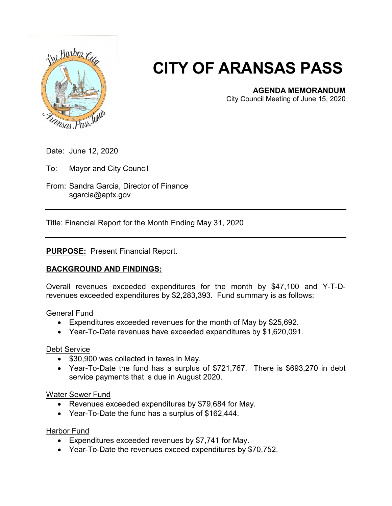

# **CITY OF ARANSAS PASS**

## **AGENDA MEMORANDUM**

City Council Meeting of June 15, 2020

Date: June 12, 2020

To: Mayor and City Council

From: Sandra Garcia, Director of Finance sgarcia@aptx.gov

Title: Financial Report for the Month Ending May 31, 2020

## **PURPOSE:** Present Financial Report.

## **BACKGROUND AND FINDINGS:**

Overall revenues exceeded expenditures for the month by \$47,100 and Y-T-Drevenues exceeded expenditures by \$2,283,393. Fund summary is as follows:

#### General Fund

- Expenditures exceeded revenues for the month of May by \$25,692.
- Year-To-Date revenues have exceeded expenditures by \$1,620,091.

#### Debt Service

- \$30,900 was collected in taxes in May.
- Year-To-Date the fund has a surplus of \$721,767. There is \$693,270 in debt service payments that is due in August 2020.

#### Water Sewer Fund

- Revenues exceeded expenditures by \$79,684 for May.
- Year-To-Date the fund has a surplus of \$162,444.

#### Harbor Fund

- Expenditures exceeded revenues by \$7,741 for May.
- Year-To-Date the revenues exceed expenditures by \$70,752.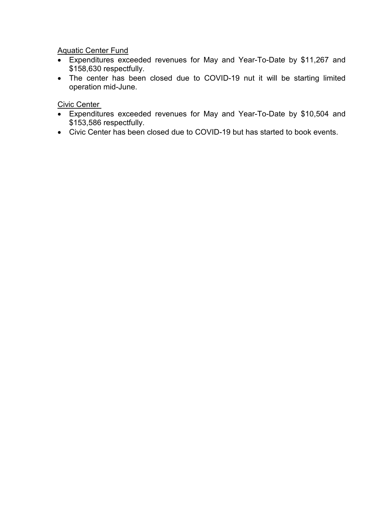**Aquatic Center Fund** 

- Expenditures exceeded revenues for May and Year-To-Date by \$11,267 and \$158,630 respectfully.
- The center has been closed due to COVID-19 nut it will be starting limited operation mid-June.

Civic Center

- Expenditures exceeded revenues for May and Year-To-Date by \$10,504 and \$153,586 respectfully.
- Civic Center has been closed due to COVID-19 but has started to book events.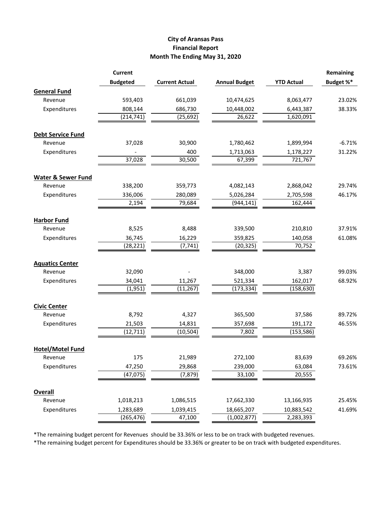### **City of Aransas Pass Financial Report Month The Ending May 31, 2020**

|                               | <b>Current</b>  | <b>Current Actual</b> | <b>Annual Budget</b> | <b>YTD Actual</b> | Remaining<br>Budget %* |
|-------------------------------|-----------------|-----------------------|----------------------|-------------------|------------------------|
|                               | <b>Budgeted</b> |                       |                      |                   |                        |
| <b>General Fund</b>           |                 |                       |                      |                   |                        |
| Revenue                       | 593,403         | 661,039               | 10,474,625           | 8,063,477         | 23.02%                 |
| Expenditures                  | 808,144         | 686,730               | 10,448,002           | 6,443,387         | 38.33%                 |
|                               | (214, 741)      | (25, 692)             | 26,622               | 1,620,091         |                        |
| <b>Debt Service Fund</b>      |                 |                       |                      |                   |                        |
| Revenue                       | 37,028          | 30,900                | 1,780,462            | 1,899,994         | $-6.71%$               |
| Expenditures                  |                 | 400                   | 1,713,063            | 1,178,227         | 31.22%                 |
|                               | 37,028          | 30,500                | 67,399               | 721,767           |                        |
| <b>Water &amp; Sewer Fund</b> |                 |                       |                      |                   |                        |
| Revenue                       | 338,200         | 359,773               | 4,082,143            | 2,868,042         | 29.74%                 |
| Expenditures                  | 336,006         | 280,089               | 5,026,284            | 2,705,598         | 46.17%                 |
|                               | 2,194           | 79,684                | (944, 141)           | 162,444           |                        |
| <b>Harbor Fund</b>            |                 |                       |                      |                   |                        |
| Revenue                       | 8,525           | 8,488                 | 339,500              | 210,810           | 37.91%                 |
| Expenditures                  | 36,745          | 16,229                | 359,825              | 140,058           | 61.08%                 |
|                               | (28, 221)       | (7, 741)              | (20, 325)            | 70,752            |                        |
| <b>Aquatics Center</b>        |                 |                       |                      |                   |                        |
| Revenue                       | 32,090          |                       | 348,000              | 3,387             | 99.03%                 |
| Expenditures                  | 34,041          | 11,267                | 521,334              | 162,017           | 68.92%                 |
|                               | (1,951)         | (11, 267)             | (173, 334)           | (158, 630)        |                        |
| <b>Civic Center</b>           |                 |                       |                      |                   |                        |
| Revenue                       | 8,792           | 4,327                 | 365,500              | 37,586            | 89.72%                 |
| Expenditures                  | 21,503          | 14,831                | 357,698              | 191,172           | 46.55%                 |
|                               | (12, 711)       | (10, 504)             | 7,802                | (153, 586)        |                        |
| <b>Hotel/Motel Fund</b>       |                 |                       |                      |                   |                        |
| Revenue                       | 175             | 21,989                | 272,100              | 83,639            | 69.26%                 |
| Expenditures                  | 47,250          | 29,868                | 239,000              | 63,084            | 73.61%                 |
|                               | (47, 075)       | (7, 879)              | 33,100               | 20,555            |                        |
| <b>Overall</b>                |                 |                       |                      |                   |                        |
| Revenue                       | 1,018,213       | 1,086,515             | 17,662,330           | 13,166,935        | 25.45%                 |
| Expenditures                  | 1,283,689       | 1,039,415             | 18,665,207           | 10,883,542        | 41.69%                 |
|                               | (265, 476)      | 47,100                | (1,002,877)          | 2,283,393         |                        |

\*The remaining budget percent for Revenues should be 33.36% or less to be on track with budgeted revenues.

\*The remaining budget percent for Expenditures should be 33.36% or greater to be on track with budgeted expenditures.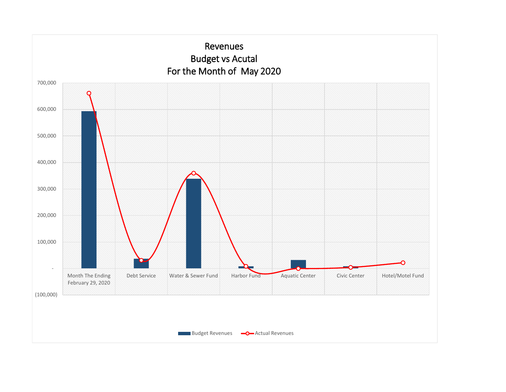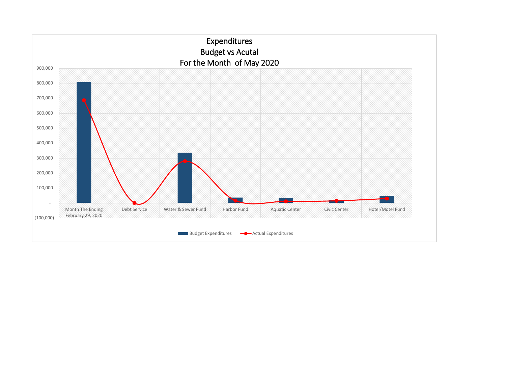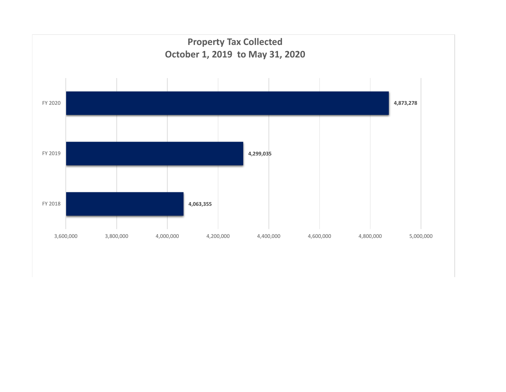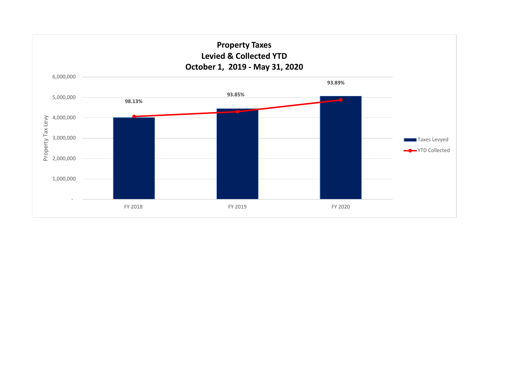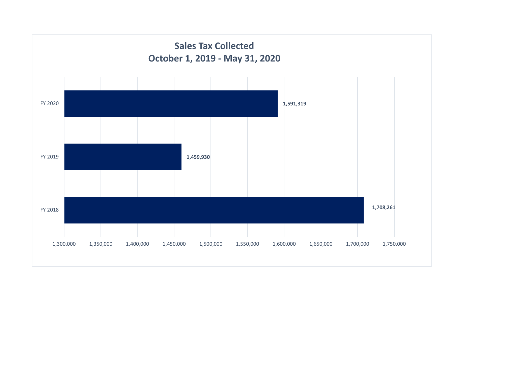